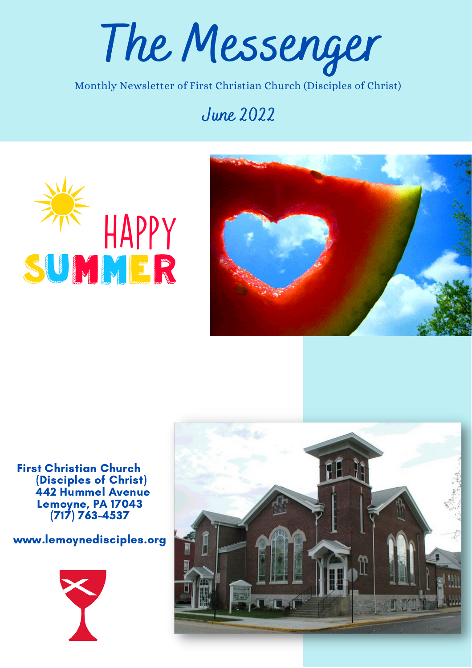**The Messenger**

Monthly Newsletter of First Christian Church (Disciples of Christ)

### **June 2022**





First Christian Church (Disciples of Christ) 442 Hummel Avenue Lemoyne, PA 17043 (717) 763-4537

www.lemoynedisciples.org



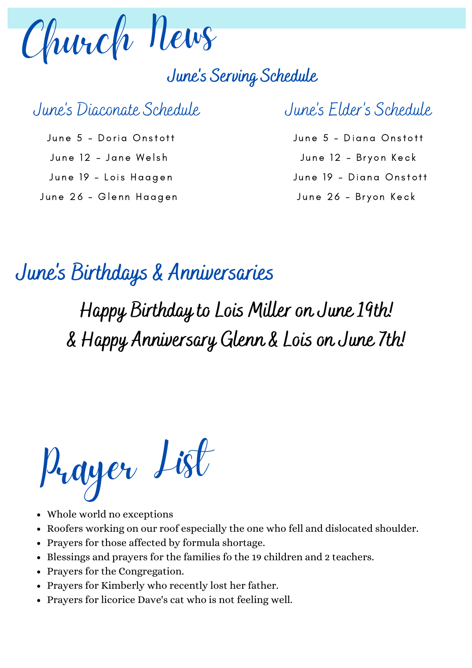

## **June's Serving Schedule**

# June 's Diaconate Schedule

June 5 - Doria Onstott June 12 - Jane Welsh June 19 - Lois Haagen June 26 - Glenn Haagen

# June 's Elder 's Schedule

June 5 - Diana Onstott June 12 - Bryon Keck June 19 - Diana Onstott June 26 - Bryon Keck

#### **June 's Birthdays & Anniversaries**

# **Happy Birthday to Lois Miller on June 19th! & Happy Anniversary Glenn & Lois on June 7th!**

Prayer List

- Whole world no exceptions
- Roofers working on our roof especially the one who fell and dislocated shoulder.
- Prayers for those affected by formula shortage.
- Blessings and prayers for the families fo the 19 children and 2 teachers.
- Prayers for the Congregation.
- Prayers for Kimberly who recently lost her father.
- Prayers for licorice Dave's cat who is not feeling well.